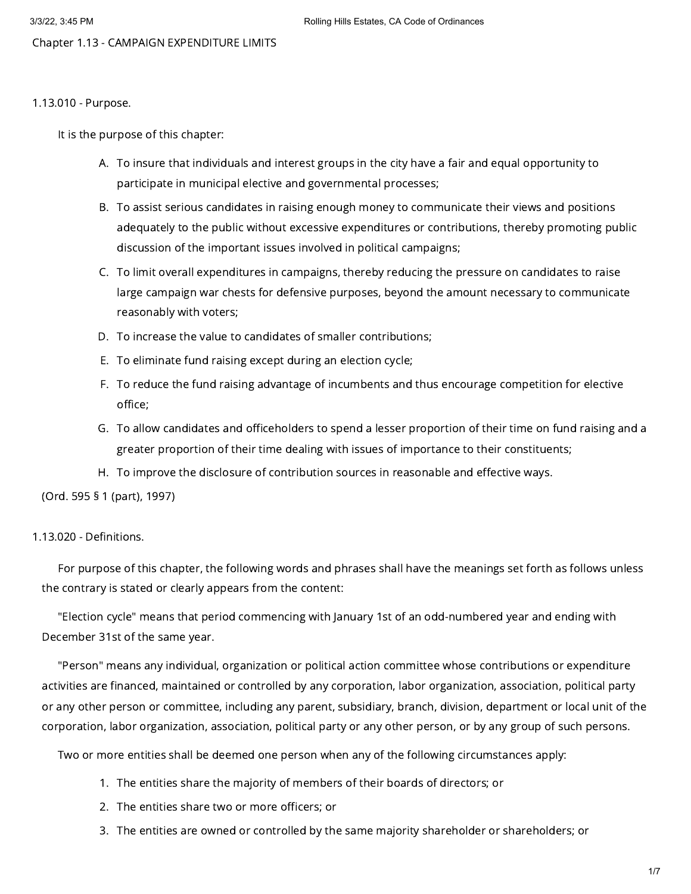Chapter 1.13 - CAMPAIGN EXPENDITURE LIMITS

# 1.13.010 - Purpose.

It is the purpose of this chapter:

- A. To insure that individuals and interest groups in the city have a fair and equal opportunity to participate in municipal elective and governmental processes;
- B. To assist serious candidates in raising enough money to communicate their views and positions adequately to the public without excessive expenditures or contributions, thereby promoting public discussion of the important issues involved in political campaigns;
- C. To limit overall expenditures in campaigns, thereby reducing the pressure on candidates to raise large campaign war chests for defensive purposes, beyond the amount necessary to communicate reasonably with voters;
- D. To increase the value to candidates of smaller contributions;
- E. To eliminate fund raising except during an election cycle;
- F. To reduce the fund raising advantage of incumbents and thus encourage competition for elective office;
- G. To allow candidates and officeholders to spend a lesser proportion of their time on fund raising and a greater proportion of their time dealing with issues of importance to their constituents;
- H. To improve the disclosure of contribution sources in reasonable and effective ways.

(Ord. 595 § 1 (part), 1997)

# 1.13.020 - Definitions.

For purpose of this chapter, the following words and phrases shall have the meanings set forth as follows unless the contrary is stated or clearly appears from the content:

"Election cycle" means that period commencing with January 1st of an odd-numbered year and ending with December 31st of the same year.

"Person" means any individual, organization or political action committee whose contributions or expenditure activities are financed, maintained or controlled by any corporation, labor organization, association, political party or any other person or committee, including any parent, subsidiary, branch, division, department or local unit of the corporation, labor organization, association, political party or any other person, or by any group of such persons.

Two or more entities shall be deemed one person when any of the following circumstances apply:

- 1. The entities share the majority of members of their boards of directors; or
- 2. The entities share two or more officers; or
- 3. The entities are owned or controlled by the same majority shareholder or shareholders; or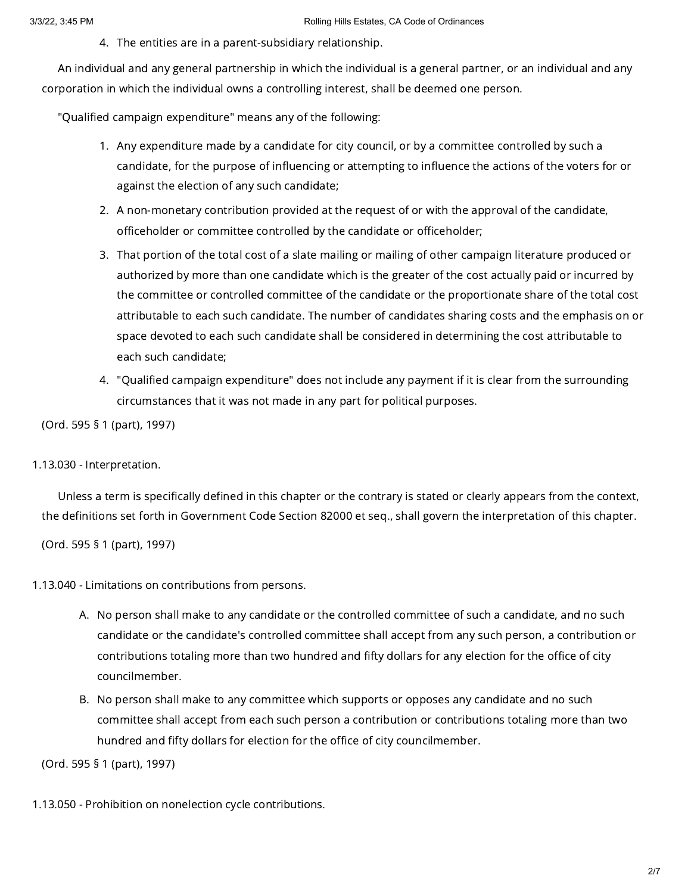4. The entities are in a parent-subsidiary relationship.

An individual and any general partnership in which the individual is a general partner, or an individual and any corporation in which the individual owns a controlling interest, shall be deemed one person.

"Qualified campaign expenditure" means any of the following:

- 1. Any expenditure made by a candidate for city council, or by a committee controlled by such a candidate, for the purpose of influencing or attempting to influence the actions of the voters for or against the election of any such candidate;
- 2. A non-monetary contribution provided at the request of or with the approval of the candidate, officeholder or committee controlled by the candidate or officeholder;
- 3. That portion of the total cost of a slate mailing or mailing of other campaign literature produced or authorized by more than one candidate which is the greater of the cost actually paid or incurred by the committee or controlled committee of the candidate or the proportionate share of the total cost attributable to each such candidate. The number of candidates sharing costs and the emphasis on or space devoted to each such candidate shall be considered in determining the cost attributable to each such candidate;
- 4. "Qualified campaign expenditure" does not include any payment if it is clear from the surrounding circumstances that it was not made in any part for political purposes.

(Ord. 595 § 1 (part), 1997)

# 1.13.030 - Interpretation.

Unless a term is specifically defined in this chapter or the contrary is stated or clearly appears from the context, the definitions set forth in Government Code Section 82000 et seq., shall govern the interpretation of this chapter.

(Ord. 595 § 1 (part), 1997)

- 1.13.040 Limitations on contributions from persons.
	- A. No person shall make to any candidate or the controlled committee of such a candidate, and no such candidate or the candidate's controlled committee shall accept from any such person, a contribution or contributions totaling more than two hundred and fifty dollars for any election for the office of city councilmember.
	- B. No person shall make to any committee which supports or opposes any candidate and no such committee shall accept from each such person a contribution or contributions totaling more than two hundred and fifty dollars for election for the office of city councilmember.

(Ord. 595 § 1 (part), 1997)

1.13.050 - Prohibition on nonelection cycle contributions.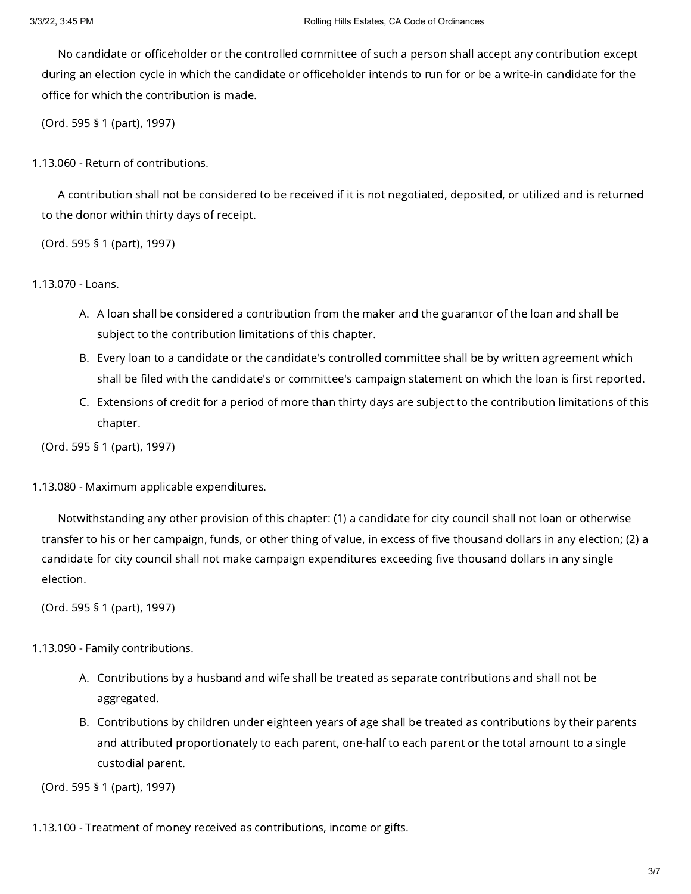No candidate or officeholder or the controlled committee of such a person shall accept any contribution except during an election cycle in which the candidate or officeholder intends to run for or be a write-in candidate for the office for which the contribution is made.

(Ord. 595 § 1 (part), 1997)

1.13.060 - Return of contributions.

A contribution shall not be considered to be received if it is not negotiated, deposited, or utilized and is returned to the donor within thirty days of receipt.

(Ord. 595 § 1 (part), 1997)

1.13.070 - Loans.

- A. A loan shall be considered a contribution from the maker and the guarantor of the loan and shall be subject to the contribution limitations of this chapter.
- B. Every loan to a candidate or the candidate's controlled committee shall be by written agreement which shall be filed with the candidate's or committee's campaign statement on which the loan is first reported.
- C. Extensions of credit for a period of more than thirty days are subject to the contribution limitations of this chapter.

(Ord. 595 § 1 (part), 1997)

1.13.080 - Maximum applicable expenditures.

Notwithstanding any other provision of this chapter: (1) a candidate for city council shall not loan or otherwise transfer to his or her campaign, funds, or other thing of value, in excess of five thousand dollars in any election; (2) a candidate for city council shall not make campaign expenditures exceeding five thousand dollars in any single election.

(Ord. 595 § 1 (part), 1997)

1.13.090 - Family contributions.

- A. Contributions by a husband and wife shall be treated as separate contributions and shall not be aggregated.
- B. Contributions by children under eighteen years of age shall be treated as contributions by their parents and attributed proportionately to each parent, one-half to each parent or the total amount to a single custodial parent.

(Ord. 595 § 1 (part), 1997)

1.13.100 - Treatment of money received as contributions, income or gifts.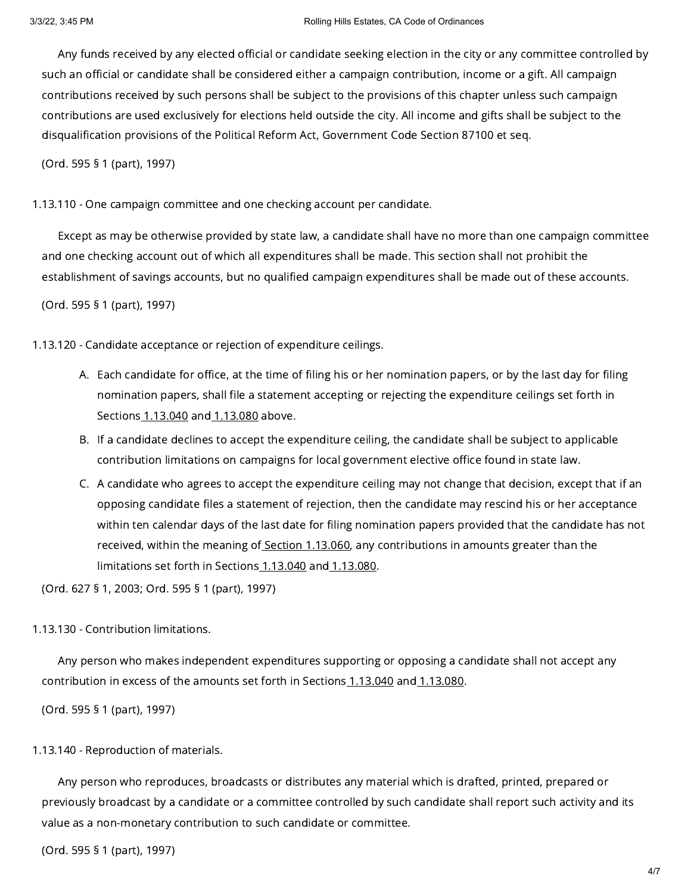Any funds received by any elected official or candidate seeking election in the city or any committee controlled by such an official or candidate shall be considered either a campaign contribution, income or a gift. All campaign contributions received by such persons shall be subject to the provisions of this chapter unless such campaign contributions are used exclusively for elections held outside the city. All income and gifts shall be subject to the disqualification provisions of the Political Reform Act, Government Code Section 87100 et seq.

(Ord. 595 § 1 (part), 1997)

1.13.110 - One campaign committee and one checking account per candidate.

Except as may be otherwise provided by state law, a candidate shall have no more than one campaign committee and one checking account out of which all expenditures shall be made. This section shall not prohibit the establishment of savings accounts, but no qualified campaign expenditures shall be made out of these accounts.

(Ord. 595 § 1 (part), 1997)

1.13.120 - Candidate acceptance or rejection of expenditure ceilings.

- A. Each candidate for office, at the time of filing his or her nomination papers, or by the last day for filing nomination papers, shall file a statement accepting or rejecting the expenditure ceilings set forth in Sections [1.13.040](https://library.municode.com/) and [1.13.080](https://library.municode.com/) above.
- B. If a candidate declines to accept the expenditure ceiling, the candidate shall be subject to applicable contribution limitations on campaigns for local government elective office found in state law.
- C. A candidate who agrees to accept the expenditure ceiling may not change that decision, except that if an opposing candidate files a statement of rejection, then the candidate may rescind his or her acceptance within ten calendar days of the last date for filing nomination papers provided that the candidate has not received, within the meaning of Section [1.13.060](https://library.municode.com/), any contributions in amounts greater than the limitations set forth in Sections [1.13.040](https://library.municode.com/) and [1.13.080.](https://library.municode.com/)

(Ord. 627 § 1, 2003; Ord. 595 § 1 (part), 1997)

#### 1.13.130 - Contribution limitations.

Any person who makes independent expenditures supporting or opposing a candidate shall not accept any contribution in excess of the amounts set forth in Sections [1.13.040](https://library.municode.com/) and [1.13.080](https://library.municode.com/).

(Ord. 595 § 1 (part), 1997)

#### 1.13.140 - Reproduction of materials.

Any person who reproduces, broadcasts or distributes any material which is drafted, printed, prepared or previously broadcast by a candidate or a committee controlled by such candidate shall report such activity and its value as a non-monetary contribution to such candidate or committee.

(Ord. 595 § 1 (part), 1997)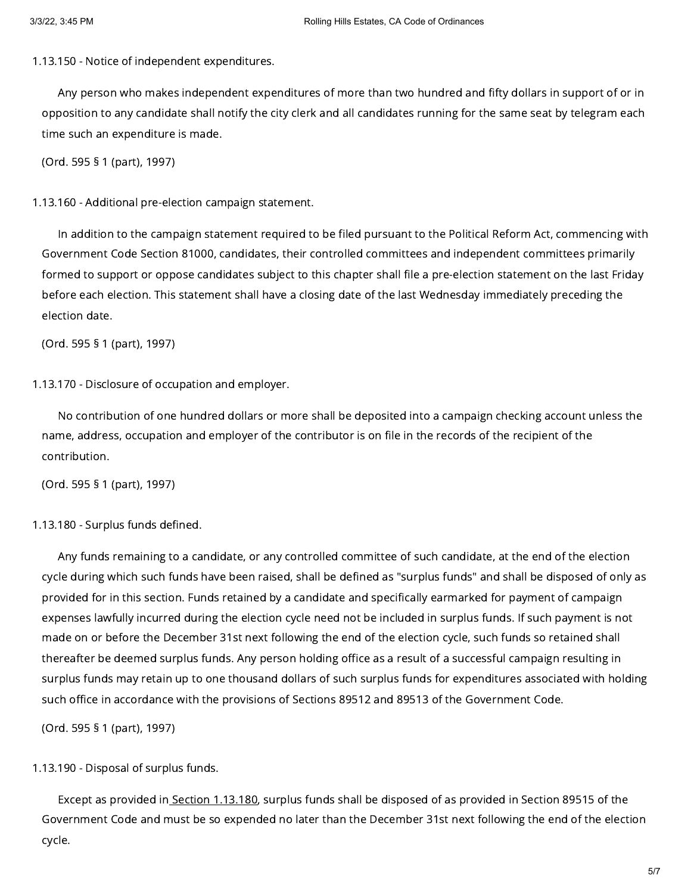1.13.150 - Notice of independent expenditures.

Any person who makes independent expenditures of more than two hundred and fifty dollars in support of or in opposition to any candidate shall notify the city clerk and all candidates running for the same seat by telegram each time such an expenditure is made.

(Ord. 595 § 1 (part), 1997)

1.13.160 - Additional pre-election campaign statement.

In addition to the campaign statement required to be filed pursuant to the Political Reform Act, commencing with Government Code Section 81000, candidates, their controlled committees and independent committees primarily formed to support or oppose candidates subject to this chapter shall file a pre-election statement on the last Friday before each election. This statement shall have a closing date of the last Wednesday immediately preceding the election date.

(Ord. 595 § 1 (part), 1997)

1.13.170 - Disclosure of occupation and employer.

No contribution of one hundred dollars or more shall be deposited into a campaign checking account unless the name, address, occupation and employer of the contributor is on file in the records of the recipient of the contribution.

(Ord. 595 § 1 (part), 1997)

# 1.13.180 - Surplus funds defined.

Any funds remaining to a candidate, or any controlled committee of such candidate, at the end of the election cycle during which such funds have been raised, shall be defined as "surplus funds" and shall be disposed of only as provided for in this section. Funds retained by a candidate and specifically earmarked for payment of campaign expenses lawfully incurred during the election cycle need not be included in surplus funds. If such payment is not made on or before the December 31st next following the end of the election cycle, such funds so retained shall thereafter be deemed surplus funds. Any person holding office as a result of a successful campaign resulting in surplus funds may retain up to one thousand dollars of such surplus funds for expenditures associated with holding such office in accordance with the provisions of Sections 89512 and 89513 of the Government Code.

(Ord. 595 § 1 (part), 1997)

1.13.190 - Disposal of surplus funds.

Except as provided in Section [1.13.180](https://library.municode.com/), surplus funds shall be disposed of as provided in Section 89515 of the Government Code and must be so expended no later than the December 31st next following the end of the election cycle.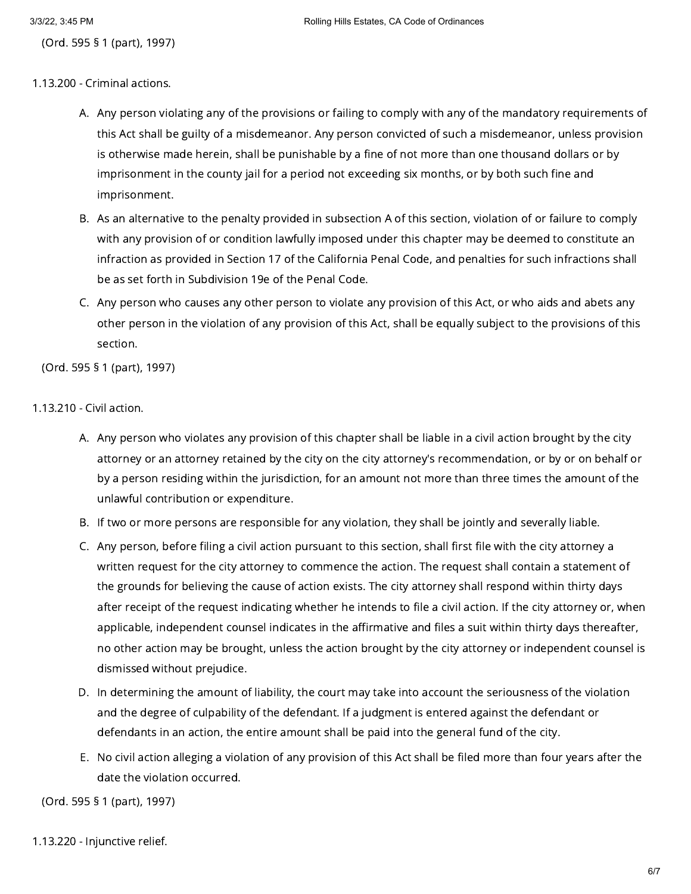(Ord. 595 § 1 (part), 1997)

- 1.13.200 Criminal actions.
	- A. Any person violating any of the provisions or failing to comply with any of the mandatory requirements of this Act shall be guilty of a misdemeanor. Any person convicted of such a misdemeanor, unless provision is otherwise made herein, shall be punishable by a fine of not more than one thousand dollars or by imprisonment in the county jail for a period not exceeding six months, or by both such fine and imprisonment.
	- B. As an alternative to the penalty provided in subsection A of this section, violation of or failure to comply with any provision of or condition lawfully imposed under this chapter may be deemed to constitute an infraction as provided in Section 17 of the California Penal Code, and penalties for such infractions shall be as set forth in Subdivision 19e of the Penal Code.
	- C. Any person who causes any other person to violate any provision of this Act, or who aids and abets any other person in the violation of any provision of this Act, shall be equally subject to the provisions of this section.

(Ord. 595 § 1 (part), 1997)

# 1.13.210 - Civil action.

- A. Any person who violates any provision of this chapter shall be liable in a civil action brought by the city attorney or an attorney retained by the city on the city attorney's recommendation, or by or on behalf or by a person residing within the jurisdiction, for an amount not more than three times the amount of the unlawful contribution or expenditure.
- B. If two or more persons are responsible for any violation, they shall be jointly and severally liable.
- C. Any person, before filing a civil action pursuant to this section, shall first file with the city attorney a written request for the city attorney to commence the action. The request shall contain a statement of the grounds for believing the cause of action exists. The city attorney shall respond within thirty days after receipt of the request indicating whether he intends to file a civil action. If the city attorney or, when applicable, independent counsel indicates in the affirmative and files a suit within thirty days thereafter, no other action may be brought, unless the action brought by the city attorney or independent counsel is dismissed without prejudice.
- D. In determining the amount of liability, the court may take into account the seriousness of the violation and the degree of culpability of the defendant. If a judgment is entered against the defendant or defendants in an action, the entire amount shall be paid into the general fund of the city.
- E. No civil action alleging a violation of any provision of this Act shall be filed more than four years after the date the violation occurred.

(Ord. 595 § 1 (part), 1997)